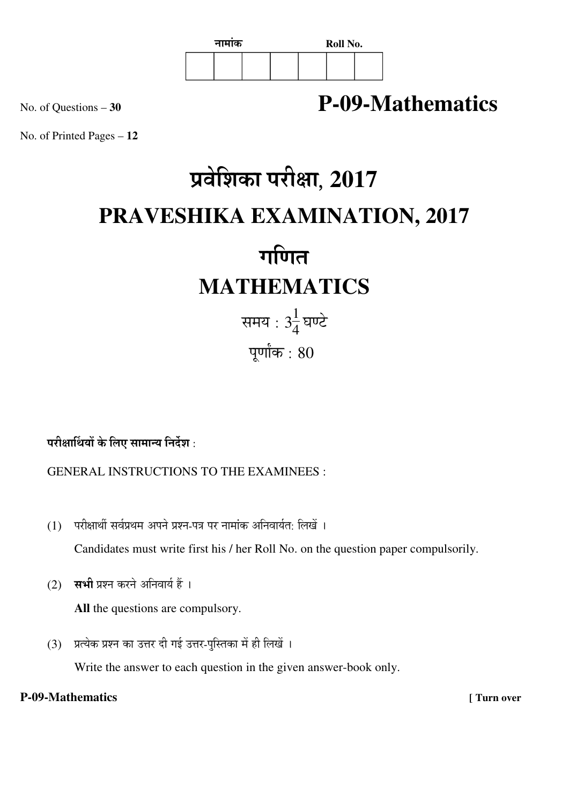

## No. of Questions – **<sup>30</sup> P-09-Mathematics**

No. of Printed Pages – **12**

# प्रवेशिका परीक्षा, 2017 **PRAVESHIKA EXAMINATION, 2017**  गणित $\overline{a}$

## **MATHEMATICS**

समय : 3 $\frac{1}{4}$  $\frac{1}{4}$ घण्टे पूर्णांक $: 80$ 

परीक्षार्थियों के लिए सामान्य निर्देश :

GENERAL INSTRUCTIONS TO THE EXAMINEES :

- $(1)$  परीक्षार्थी सर्वप्रथम अपने प्रश्न-पत्र पर नामांक अनिवार्यत: लिखें । Candidates must write first his / her Roll No. on the question paper compulsorily.
- (2) सभी प्रश्न करने अनिवार्य हैं ।

**All** the questions are compulsory.

 $(3)$  प्रत्येक प्रश्न का उत्तर दी गई उत्तर-पस्तिका में ही लिखें ।

Write the answer to each question in the given answer-book only.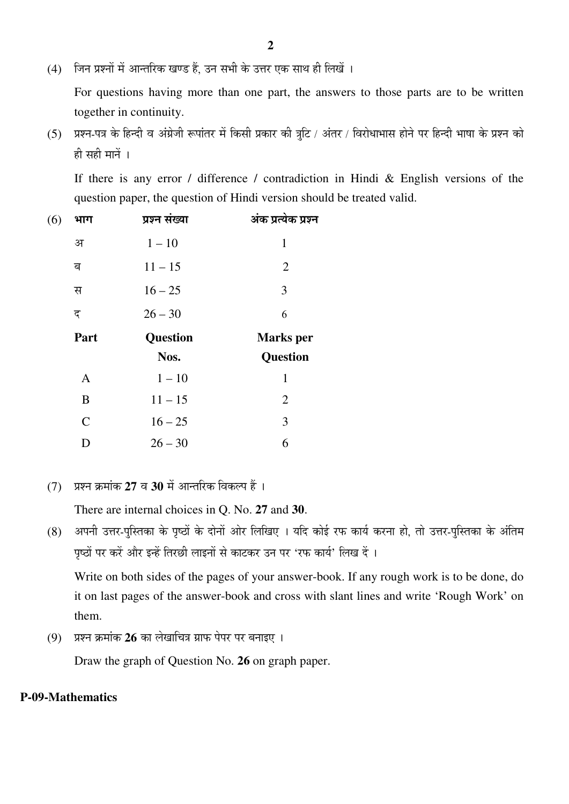(4) जिन प्रश्नों में आन्तरिक खण्ड हैं. उन सभी के उत्तर एक साथ ही लिखें ।

 For questions having more than one part, the answers to those parts are to be written together in continuity.

(5) प्रश्न-पत्र के हिन्दी व अंग्रेजी रूपांतर में किसी प्रकार की त्रुटि / अंतर / विरोधाभास होने पर हिन्दी भाषा के प्रश्न को  $\hat{\mathbf{g}}$  सही मानें ।

 If there is any error / difference / contradiction in Hindi & English versions of the question paper, the question of Hindi version should be treated valid.

| (6) | भाग          | प्रश्न संख्या   | अंक प्रत्येक प्रश्न |
|-----|--------------|-----------------|---------------------|
|     | अ            | $1 - 10$        | 1                   |
|     | ब            | $11 - 15$       | $\overline{2}$      |
|     | स            | $16 - 25$       | 3                   |
|     | द            | $26 - 30$       | 6                   |
|     | Part         | <b>Question</b> | <b>Marks</b> per    |
|     |              | Nos.            | <b>Question</b>     |
|     | $\mathbf{A}$ | $1 - 10$        | 1                   |
|     | B            | $11 - 15$       | $\overline{2}$      |
|     | $\mathbf C$  | $16 - 25$       | 3                   |
|     | D            | $26 - 30$       | 6                   |

(7) प्रश्न क्रमांक 27 व 30 में आन्तरिक विकल्प हैं।

There are internal choices in Q. No. **27** and **30**.

(8) अपनी उत्तर-पुस्तिका के पृष्ठों के दोनों ओर लिखिए । यदि कोई रफ कार्य करना हो, तो उत्तर-पुस्तिका के अंतिम पृष्ठों पर करें और इन्हें तिरछी लाइनों से काटकर उन पर 'रफ कार्य' लिख दें ।

 Write on both sides of the pages of your answer-book. If any rough work is to be done, do it on last pages of the answer-book and cross with slant lines and write 'Rough Work' on them.

(9) प्रश्न क्रमांक 26 का लेखाचित्र ग्राफ पेपर पर बनाइए ।

Draw the graph of Question No. **26** on graph paper.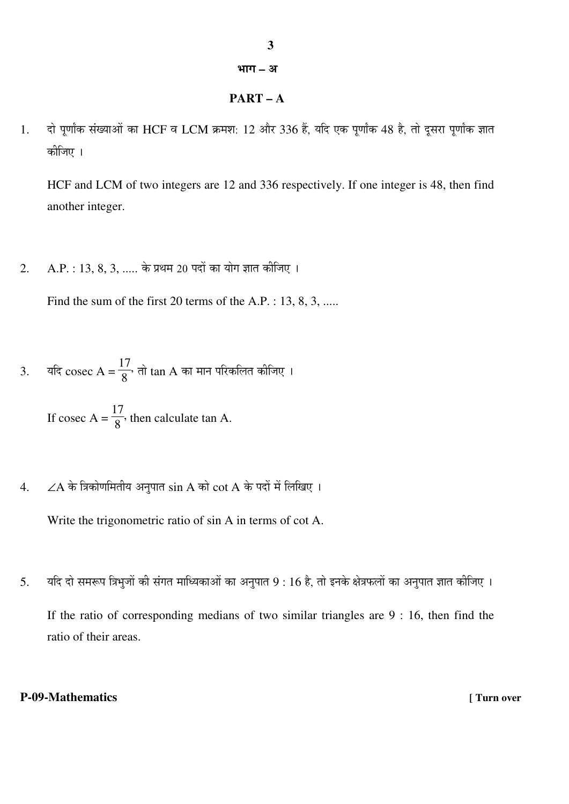## भाग – अ

## **PART – A**

1. दो पूर्णांक संख्याओं का HCF व LCM क्रमश: 12 और 336 हैं, यदि एक पूर्णांक 48 है, तो दूसरा पूर्णांक ज्ञात कोजिए ।

HCF and LCM of two integers are 12 and 336 respectively. If one integer is 48, then find another integer.

2. A.P. : 13, 8, 3, ..... के प्रथम 20 पदों का योग ज्ञात कीजिए ।

Find the sum of the first 20 terms of the A.P. : 13, 8, 3, .....

3. यदि cosec A =  $\frac{17}{8}$ 8  $\cdot$  तो  $\tan A$  का मान परिकलित कीजिए ।

> If cosec  $A =$ 17 8 , then calculate tan A.

 $4.$  ∠A के त्रिकोणमितीय अनुपात  $\sin A$  को  $\cot A$  के पदों में लिखिए ।

Write the trigonometric ratio of sin A in terms of cot A.

5. यदि दो समरूप त्रिभूजों की संगत माध्यिकाओं का अनुपात 9 : 16 है, तो इनके क्षेत्रफलों का अनुपात ज्ञात कीजिए ।

If the ratio of corresponding medians of two similar triangles are 9 : 16, then find the ratio of their areas.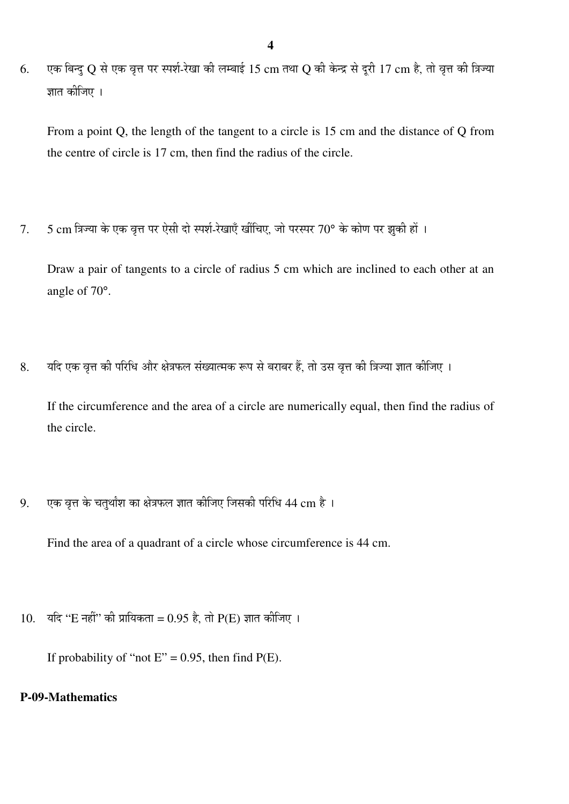6. पक बिन्द Q से एक वृत्त पर स्पर्श-रेखा की लम्बाई 15 cm तथा Q की केन्द्र से दुरी 17 cm है, तो वृत्त की त्रिज्या ज्ञात कीजिए ।

From a point Q, the length of the tangent to a circle is 15 cm and the distance of Q from the centre of circle is 17 cm, then find the radius of the circle.

 $7.$  5 cm त्रिज्या के एक वृत्त पर ऐसी दो स्पर्श-रेखाएँ खींचिए, जो परस्पर 70° के कोण पर झुकी हों ।

Draw a pair of tangents to a circle of radius 5 cm which are inclined to each other at an angle of 70°.

8. यदि एक वृत्त की परिधि और क्षेत्रफल संख्यात्मक रूप से बराबर हैं, तो उस वृत्त की त्रिज्या ज्ञात कीजिए ।

If the circumference and the area of a circle are numerically equal, then find the radius of the circle.

 $9.$  एक वृत्त के चतुर्थांश का क्षेत्रफल ज्ञात कीजिए जिसकी परिधि 44 cm है ।

Find the area of a quadrant of a circle whose circumference is 44 cm.

10. यदि "E नहीं" की प्रायिकता = 0.95 है, तो P(E) ज्ञात कीजिए ।

If probability of "not  $E$ " = 0.95, then find  $P(E)$ .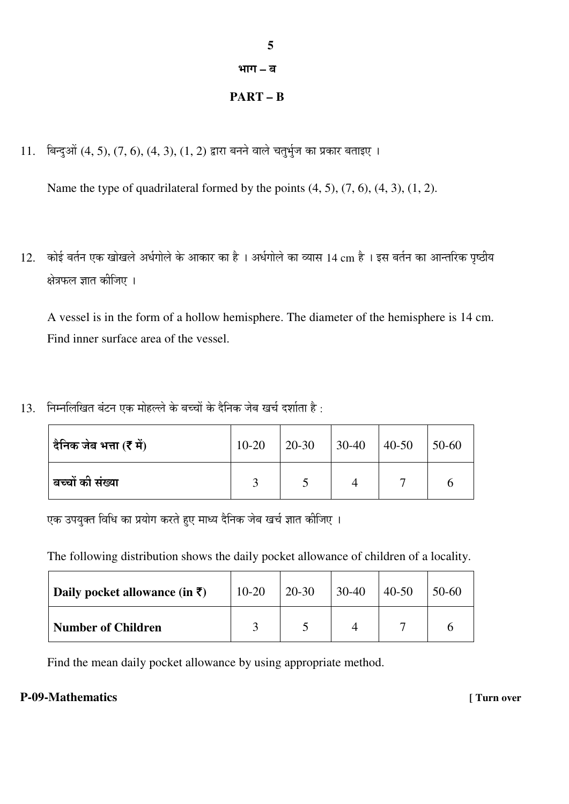## भाग – ब

## **PART – B**

 $11.$  बिन्दुओं  $(4, 5), (7, 6), (4, 3), (1, 2)$  द्वारा बनने वाले चतुर्भुज का प्रकार बताइए ।

Name the type of quadrilateral formed by the points  $(4, 5)$ ,  $(7, 6)$ ,  $(4, 3)$ ,  $(1, 2)$ .

12. कोई बर्तन एक खोखले अर्धगोले के आकार का है । अर्धगोले का व्यास 14 cm है । इस बर्तन का आन्तरिक पृष्ठीय क्षेत्रफल ज्ञात कीजिए ।

A vessel is in the form of a hollow hemisphere. The diameter of the hemisphere is 14 cm. Find inner surface area of the vessel.

 $13.$  निम्नलिखित बंटन एक मोहल्ले के बच्चों के दैनिक जेब खर्च दर्शाता है:

| दैनिक जेब भत्ता (₹ में) | $10 - 20$ | 20-30 | $30-40$ | $40 - 50$ | 50-60 |
|-------------------------|-----------|-------|---------|-----------|-------|
| बच्चों की संख्या        |           |       |         |           |       |

एक उपयुक्त विधि का प्रयोग करते हुए माध्य दैनिक जेब खर्च ज्ञात कीजिए ।

The following distribution shows the daily pocket allowance of children of a locality.

| Daily pocket allowance (in $\bar{\tau}$ ) | $10-20$ | $20 - 30$ | $30-40$ | $40 - 50$ | 50-60 |
|-------------------------------------------|---------|-----------|---------|-----------|-------|
| <b>Number of Children</b>                 |         |           |         |           |       |

Find the mean daily pocket allowance by using appropriate method.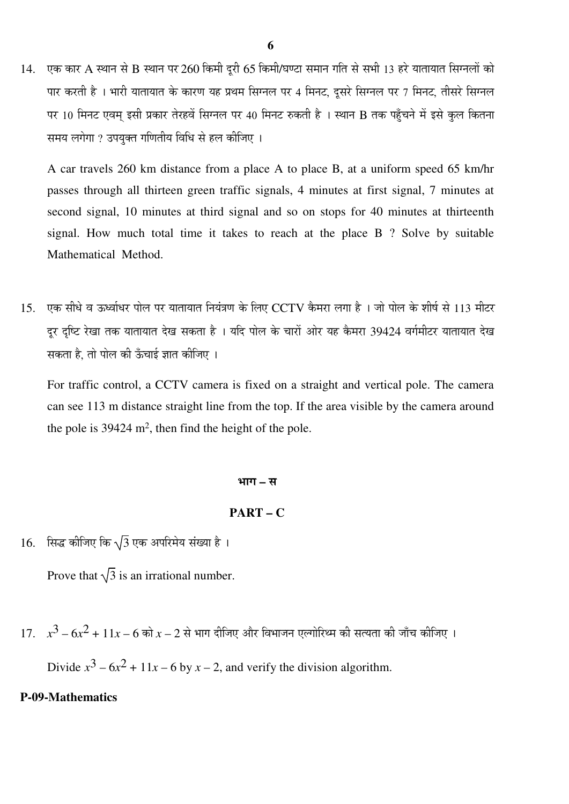$14.$  एक कार A स्थान से B स्थान पर 260 किमी दुरी 65 किमी/घण्टा समान गति से सभी 13 हरे यातायात सिग्नलों को पार करती है। भारी यातायात के कारण यह प्रथम सिग्नल पर 4 मिनट, दुसरे सिग्नल पर 7 मिनट, तीसरे सिग्नल पर 10 मिनट एवम् इसी प्रकार तेरहवें सिग्नल पर 40 मिनट रुकती है । स्थान B तक पहुँचने में इसे कुल कितना समय लगेगा ? उपयुक्त गणितीय विधि से हल कीजिए ।

A car travels 260 km distance from a place A to place B, at a uniform speed 65 km/hr passes through all thirteen green traffic signals, 4 minutes at first signal, 7 minutes at second signal, 10 minutes at third signal and so on stops for 40 minutes at thirteenth signal. How much total time it takes to reach at the place B ? Solve by suitable Mathematical Method.

 $15.$  एक सीधे व ऊर्ध्वाधर पोल पर यातायात नियंत्रण के लिए  $\rm CCTV$  कैमरा लगा है । जो पोल के शीर्ष से  $113$  मीटर दर दृष्टि रेखा तक यातायात देख सकता है । यदि पोल के चारों ओर यह कैमरा 39424 वर्गमीटर यातायात देख सकता है, तो पोल की ऊँचाई ज्ञात कीजिए ।

For traffic control, a CCTV camera is fixed on a straight and vertical pole. The camera can see 113 m distance straight line from the top. If the area visible by the camera around the pole is  $39424 \text{ m}^2$ , then find the height of the pole.

#### ³ÖÖÝÖ **–** ÃÖ

#### **PART – C**

 $16.$  सिद्ध कीजिए कि  $\sqrt{3}$  एक अपरिमेय संख्या है।

Prove that  $\sqrt{3}$  is an irrational number.

 $17.$   $x^3 - 6x^2 + 11x - 6$  को  $x - 2$  से भाग दीजिए और विभाजन एल्गोरिथ्म की सत्यता की जाँच कीजिए ।

Divide  $x^3 - 6x^2 + 11x - 6$  by  $x - 2$ , and verify the division algorithm.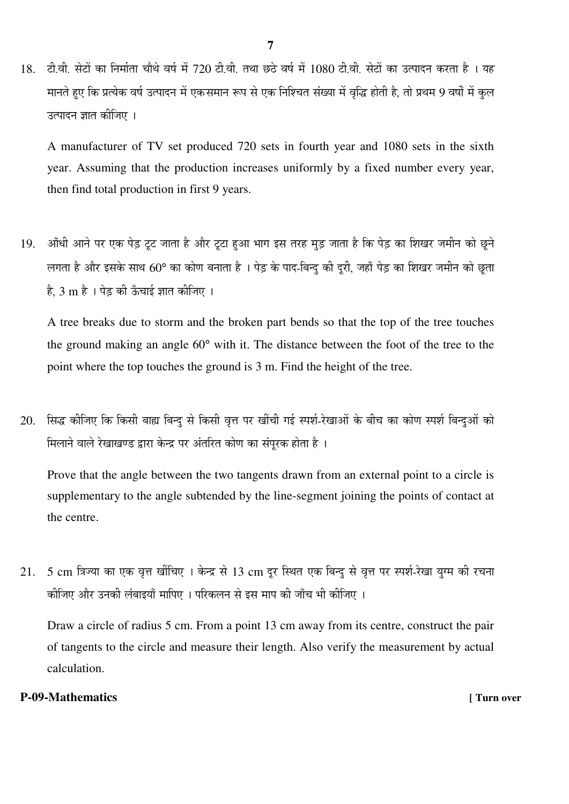$18.$  टी.वी. सेटों का निर्माता चौथे वर्ष में 720 टी.वी. तथा छठे वर्ष में  $1080$  टी.वी. सेटों का उत्पादन करता है । यह .<br>मानते हुए कि प्रत्येक वर्ष उत्पादन में एकसमान रूप से एक निश्चित संख्या में वृद्धि होती है, तो प्रथम 9 वर्षों में कुल उत्पादन ज्ञात कीजिए ।

A manufacturer of TV set produced 720 sets in fourth year and 1080 sets in the sixth year. Assuming that the production increases uniformly by a fixed number every year, then find total production in first 9 years.

19. औंधी आने पर एक पेड़ टूट जाता है और टूटा हुआ भाग इस तरह मुड़ जाता है कि पेड़ का शिखर जमीन को छूने लगता है और इसके साथ 60° का कोण बनाता है । पेड़ के पाद-बिन्द की दुरी, जहाँ पेड़ का शिखर जमीन को छता है, 3 m है । पेड़ की ऊँचाई ज्ञात कीजिए ।

A tree breaks due to storm and the broken part bends so that the top of the tree touches the ground making an angle 60° with it. The distance between the foot of the tree to the point where the top touches the ground is 3 m. Find the height of the tree.

20. सिद्ध कीजिए कि किसी बाह्य बिन्दु से किसी वृत्त पर खींची गई स्पर्श-रेखाओं के बीच का कोण स्पर्श बिन्दुओं को <u>मिलाने वाले रेखाखण्ड द्वारा केन्द्र पर अंतरित कोण का संपुरक होता है</u>।

Prove that the angle between the two tangents drawn from an external point to a circle is supplementary to the angle subtended by the line-segment joining the points of contact at the centre.

21. 5 cm त्रिज्या का एक वृत्त खींचिए । केन्द्र से 13 cm दुर स्थित एक बिन्दु से वृत्त पर स्पर्श-रेखा युग्म की रचना कीजिए और उनकी लंबाइयाँ मापिए । परिकलन से इस माप की जाँच भी कीजिए ।

Draw a circle of radius 5 cm. From a point 13 cm away from its centre, construct the pair of tangents to the circle and measure their length. Also verify the measurement by actual calculation.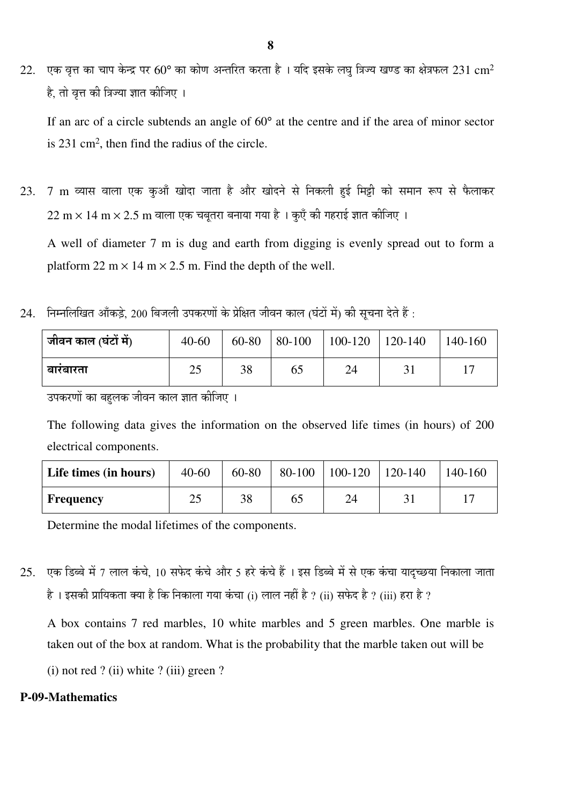22. एक वृत्त का चाप केन्द्र पर 60° का कोण अन्तरित करता है । यदि इसके लघु त्रिज्य खण्ड का क्षेत्रफल 231 cm<sup>2</sup> है, तो वृत्त की त्रिज्या ज्ञात कीजिए ।

If an arc of a circle subtends an angle of 60° at the centre and if the area of minor sector is 231 cm<sup>2</sup> , then find the radius of the circle.

- $23.$  7 m व्यास वाला एक कुआँ खोदा जाता है और खोदने से निकली हुई मिट्टी को समान रूप से फैलाकर  $22~\mathrm{m} \times 14~\mathrm{m} \times 2.5~\mathrm{m}$  वाला एक चबतरा बनाया गया है । कुएँ की गहराई ज्ञात कीजिए । A well of diameter 7 m is dug and earth from digging is evenly spread out to form a
- $24$ . निम्नलिखित आँकड़े, 200 बिजली उपकरणों के प्रेक्षित जीवन काल (घंटों में) की सूचना देते हैं:

platform 22 m  $\times$  14 m  $\times$  2.5 m. Find the depth of the well.

| <sup>।</sup> जीवन काल (घंटों में) | $40 - 60$ | 60-80 | $80-100$ | $100-120$ 120-140 | $140-160$ |
|-----------------------------------|-----------|-------|----------|-------------------|-----------|
| बारबारता                          | 25        | 38    | 65       | 24                |           |

उपकरणों का बहलक जीवन काल ज्ञात कीजिए ।

The following data gives the information on the observed life times (in hours) of 200 electrical components.

| Life times (in hours) | $40 - 60$ | 60-80 |    | 80-100   100-120   120-140 | 140-160 |
|-----------------------|-----------|-------|----|----------------------------|---------|
| <b>Frequency</b>      | າ<<br>لدك | 38    | 65 | 24                         |         |

Determine the modal lifetimes of the components.

 $25.$  एक डिब्बे में 7 लाल कंचे, 10 सफेद कंचे और 5 हरे कंचे हैं । इस डिब्बे में से एक कंचा यादृच्छया निकाला जाता है। इसकी प्रायिकता क्या है कि निकाला गया कंचा (i) लाल नहीं है ? (ii) सफेद है ? (iii) हरा है ?

A box contains 7 red marbles, 10 white marbles and 5 green marbles. One marble is taken out of the box at random. What is the probability that the marble taken out will be

(i) not red ? (ii) white ? (iii) green ?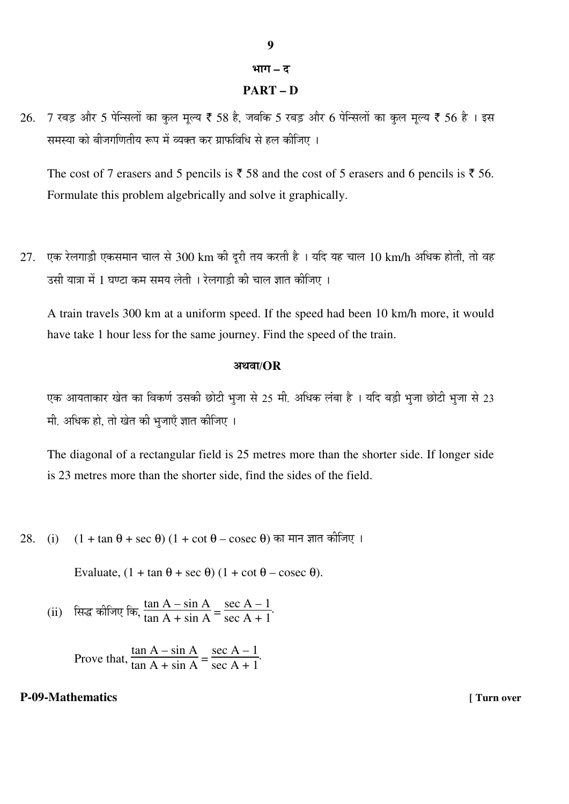### भाग – द

## **PART – D**

 $26.$   $7$  रबड़ और 5 पेन्सिलों का कुल मूल्य ₹ 58 है, जबकि 5 रबड़ और 6 पेन्सिलों का कुल मूल्य ₹ 56 है । इस समस्या को बीजगणितीय रूप में व्यक्त कर ग्राफविधि से हल कीजिए ।

The cost of 7 erasers and 5 pencils is  $\bar{z}$  58 and the cost of 5 erasers and 6 pencils is  $\bar{z}$  56. Formulate this problem algebrically and solve it graphically.

 $27.$  एक रेलगाड़ी एकसमान चाल से  $300~{\rm km}$  की दूरी तय करती है । यदि यह चाल  $10~{\rm km/h}$  अधिक होती, तो वह उसी यात्रा में 1 घण्टा कम समय लेती । रेलगाडी की चाल ज्ञात कीजिए ।

A train travels 300 km at a uniform speed. If the speed had been 10 km/h more, it would have take 1 hour less for the same journey. Find the speed of the train.

#### †£Ö¾ÖÖ/**OR**

एक आयताकार खेत का विकर्ण उसकी छोटी भुजा से 25 मी. अधिक लंबा है । यदि बड़ी भूजा छोटी भूजा से 23 मी. अधिक हो, तो खेत की भुजाएँ ज्ञात कीजिए ।

The diagonal of a rectangular field is 25 metres more than the shorter side. If longer side is 23 metres more than the shorter side, find the sides of the field.

28. (i)  $(1 + \tan \theta + \sec \theta) (1 + \cot \theta - \csc \theta)$  का मान ज्ञात कीजिए ।

Evaluate,  $(1 + \tan \theta + \sec \theta) (1 + \cot \theta - \csc \theta)$ .

(ii) सिद्ध कीजिए कि,  $\frac{\tan A - \sin A}{\tan A + \sin A}$  $\frac{\tan 11 - \sin 11}{\tan A + \sin A} =$ sec  $A - 1$ sec  $A + 1$ .

 Prove that,  $\tan A - \sin A$  $\frac{\tan 11 - \sin 11}{\tan A + \sin A} =$ sec  $A - 1$ sec  $A + 1$ .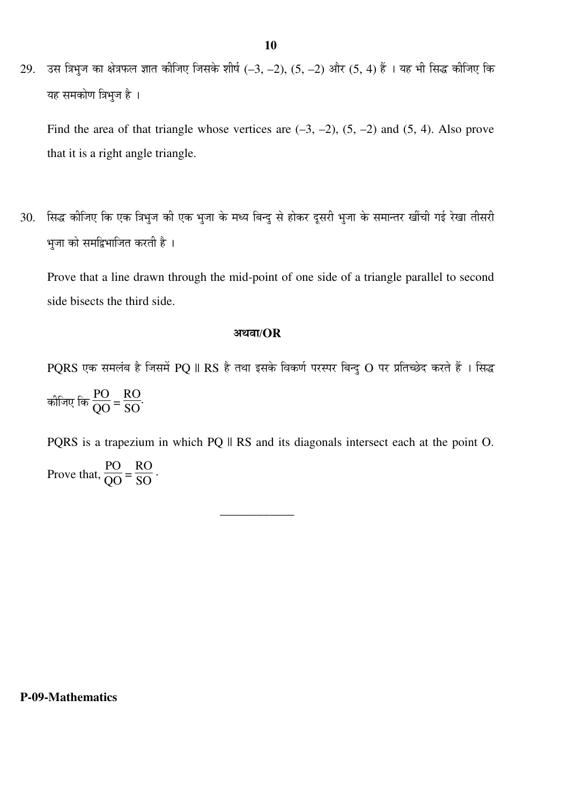29. उस त्रिभुज का क्षेत्रफल ज्ञात कीजिए जिसके शीर्ष (–3, –2), (5, –2) और (5, 4) हैं । यह भी सिद्ध कीजिए कि यह समकोण त्रिभुज है ।

Find the area of that triangle whose vertices are  $(-3, -2)$ ,  $(5, -2)$  and  $(5, 4)$ . Also prove that it is a right angle triangle.

30. सिद्ध कीजिए कि एक त्रिभुज की एक भुजा के मध्य बिन्दु से होकर दूसरी भुजा के समान्तर खींची गई रेखा तीसरी भुजा को समद्विभाजित करती है ।

Prove that a line drawn through the mid-point of one side of a triangle parallel to second side bisects the third side.

#### †£Ö¾ÖÖ/**OR**

PQRS एक समलंब है जिसमें PQ || RS है तथा इसके विकर्ण परस्पर बिन्दु O पर प्रतिच्छेद करते हैं । सिद्ध कीजिए कि  $\frac{PO}{OO}$  = RO SO .

PQRS is a trapezium in which PQ  $\parallel$  RS and its diagonals intersect each at the point O. Prove that, PO  $\frac{16}{\overline{QQ}}$  = RO SO .

\_\_\_\_\_\_\_\_\_\_\_\_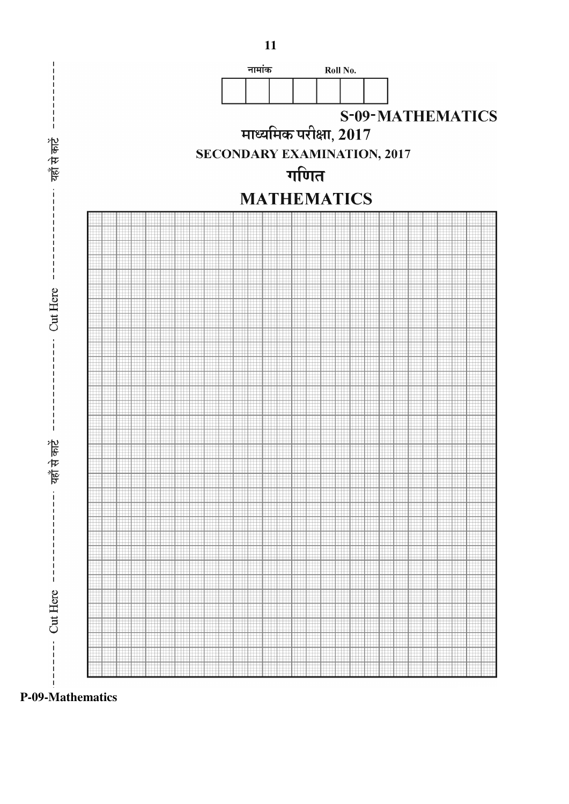